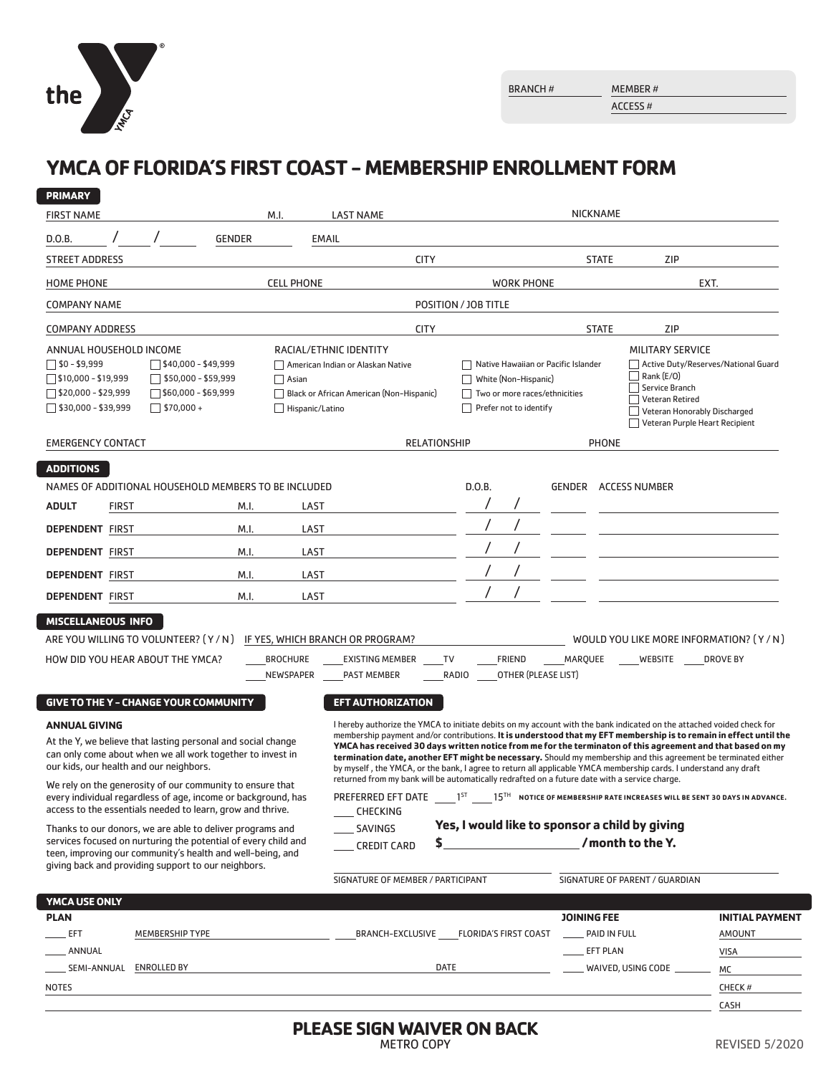

 $\overline{\phantom{0}}$ 

ACCESS #

# **YMCA OF FLORIDA'S FIRST COAST - MEMBERSHIP ENROLLMENT FORM**

| <b>PRIMARY</b>                                                                                                                  |                                                                             |                                                                                                       |                                                         |                   |                                                                                                                                                                                                                                    |                              |                          |                   |                     |                                     |                                                                |                                                                           |
|---------------------------------------------------------------------------------------------------------------------------------|-----------------------------------------------------------------------------|-------------------------------------------------------------------------------------------------------|---------------------------------------------------------|-------------------|------------------------------------------------------------------------------------------------------------------------------------------------------------------------------------------------------------------------------------|------------------------------|--------------------------|-------------------|---------------------|-------------------------------------|----------------------------------------------------------------|---------------------------------------------------------------------------|
| <b>FIRST NAME</b>                                                                                                               |                                                                             |                                                                                                       |                                                         | M.I.              | <b>LAST NAME</b>                                                                                                                                                                                                                   |                              |                          |                   |                     | <b>NICKNAME</b>                     |                                                                |                                                                           |
| D.O.B.                                                                                                                          |                                                                             |                                                                                                       | <b>GENDER</b>                                           | <b>EMAIL</b>      |                                                                                                                                                                                                                                    |                              |                          |                   |                     |                                     |                                                                |                                                                           |
| <b>STREET ADDRESS</b>                                                                                                           |                                                                             |                                                                                                       |                                                         |                   | <b>CITY</b>                                                                                                                                                                                                                        |                              |                          |                   |                     | <b>STATE</b>                        | ZIP                                                            |                                                                           |
| <b>HOME PHONE</b>                                                                                                               |                                                                             |                                                                                                       |                                                         | <b>CELL PHONE</b> |                                                                                                                                                                                                                                    |                              |                          | <b>WORK PHONE</b> |                     |                                     |                                                                | EXT.                                                                      |
| <b>COMPANY NAME</b>                                                                                                             |                                                                             |                                                                                                       |                                                         |                   |                                                                                                                                                                                                                                    | POSITION / JOB TITLE         |                          |                   |                     |                                     |                                                                |                                                                           |
| <b>COMPANY ADDRESS</b>                                                                                                          |                                                                             |                                                                                                       |                                                         |                   | <b>CITY</b>                                                                                                                                                                                                                        |                              |                          |                   |                     | <b>STATE</b>                        | <b>ZIP</b>                                                     |                                                                           |
| ANNUAL HOUSEHOLD INCOME                                                                                                         |                                                                             |                                                                                                       |                                                         |                   | RACIAL/ETHNIC IDENTITY                                                                                                                                                                                                             |                              |                          |                   |                     |                                     | MILITARY SERVICE                                               |                                                                           |
| $\Box$ \$0 - \$9,999<br>$\sqrt{540,000} - $49,999$                                                                              |                                                                             |                                                                                                       | American Indian or Alaskan Native                       |                   | Native Hawaiian or Pacific Islander                                                                                                                                                                                                |                              |                          |                   |                     | Active Duty/Reserves/National Guard |                                                                |                                                                           |
|                                                                                                                                 | $\square$ \$10,000 - \$19,999<br>$\Box$ \$50,000 - \$59,999<br>$\Box$ Asian |                                                                                                       | White (Non-Hispanic)                                    |                   |                                                                                                                                                                                                                                    | Rank (E/O)<br>Service Branch |                          |                   |                     |                                     |                                                                |                                                                           |
| $\Box$ \$20,000 - \$29,999<br>$\sqrt{560,000}$ - \$69,999<br>$\Box$ \$30,000 - \$39,999<br>$\Box$ \$70,000 +<br>Hispanic/Latino |                                                                             | Black or African American (Non-Hispanic)                                                              | Two or more races/ethnicities<br>Prefer not to identify |                   |                                                                                                                                                                                                                                    |                              | <b>Veteran Retired</b>   |                   |                     |                                     |                                                                |                                                                           |
|                                                                                                                                 |                                                                             |                                                                                                       |                                                         |                   |                                                                                                                                                                                                                                    |                              |                          |                   |                     |                                     | Veteran Honorably Discharged<br>Veteran Purple Heart Recipient |                                                                           |
| <b>EMERGENCY CONTACT</b>                                                                                                        |                                                                             |                                                                                                       |                                                         |                   |                                                                                                                                                                                                                                    | <b>RELATIONSHIP</b>          |                          |                   |                     | <b>PHONE</b>                        |                                                                |                                                                           |
| <b>ADDITIONS</b>                                                                                                                |                                                                             |                                                                                                       |                                                         |                   |                                                                                                                                                                                                                                    |                              |                          |                   |                     |                                     |                                                                |                                                                           |
|                                                                                                                                 |                                                                             | NAMES OF ADDITIONAL HOUSEHOLD MEMBERS TO BE INCLUDED                                                  |                                                         |                   |                                                                                                                                                                                                                                    | D.O.B.                       |                          |                   |                     |                                     | <b>GENDER ACCESS NUMBER</b>                                    |                                                                           |
| <b>ADULT</b>                                                                                                                    | <b>FIRST</b>                                                                |                                                                                                       | M.I.                                                    | LAST              |                                                                                                                                                                                                                                    |                              |                          |                   |                     |                                     |                                                                |                                                                           |
| <b>DEPENDENT FIRST</b>                                                                                                          |                                                                             |                                                                                                       | M.I.                                                    | LAST              |                                                                                                                                                                                                                                    |                              |                          |                   |                     |                                     |                                                                |                                                                           |
| <b>DEPENDENT FIRST</b>                                                                                                          |                                                                             |                                                                                                       | M.I.                                                    | LAST              |                                                                                                                                                                                                                                    |                              |                          |                   |                     |                                     |                                                                |                                                                           |
| <b>DEPENDENT FIRST</b>                                                                                                          |                                                                             |                                                                                                       | M.I.                                                    | LAST              |                                                                                                                                                                                                                                    |                              |                          |                   |                     |                                     |                                                                |                                                                           |
| <b>DEPENDENT FIRST</b>                                                                                                          |                                                                             |                                                                                                       | M.I.                                                    | LAST              |                                                                                                                                                                                                                                    |                              |                          |                   |                     |                                     |                                                                |                                                                           |
| <b>MISCELLANEOUS INFO</b>                                                                                                       |                                                                             |                                                                                                       |                                                         |                   |                                                                                                                                                                                                                                    |                              |                          |                   |                     |                                     |                                                                |                                                                           |
|                                                                                                                                 |                                                                             | ARE YOU WILLING TO VOLUNTEER? (Y/N)                                                                   |                                                         |                   | IF YES, WHICH BRANCH OR PROGRAM?                                                                                                                                                                                                   |                              |                          |                   |                     |                                     | WOULD YOU LIKE MORE INFORMATION? (Y/N)                         |                                                                           |
|                                                                                                                                 |                                                                             | HOW DID YOU HEAR ABOUT THE YMCA?                                                                      |                                                         | <b>BROCHURE</b>   | <b>EXISTING MEMBER</b>                                                                                                                                                                                                             | <b>TV</b>                    |                          | <b>FRIEND</b>     | MARQUEE             |                                     | WEBSITE                                                        | <b>DROVE BY</b>                                                           |
|                                                                                                                                 |                                                                             |                                                                                                       |                                                         | <b>NEWSPAPER</b>  | <b>PAST MEMBER</b>                                                                                                                                                                                                                 | RADIO                        |                          |                   | OTHER (PLEASE LIST) |                                     |                                                                |                                                                           |
|                                                                                                                                 |                                                                             | <b>GIVE TO THE Y - CHANGE YOUR COMMUNITY</b>                                                          |                                                         |                   | <b>EFT AUTHORIZATION</b>                                                                                                                                                                                                           |                              |                          |                   |                     |                                     |                                                                |                                                                           |
| <b>ANNUAL GIVING</b>                                                                                                            |                                                                             |                                                                                                       |                                                         |                   | I hereby authorize the YMCA to initiate debits on my account with the bank indicated on the attached voided check for                                                                                                              |                              |                          |                   |                     |                                     |                                                                |                                                                           |
|                                                                                                                                 |                                                                             | At the Y, we believe that lasting personal and social change                                          |                                                         |                   | membership payment and/or contributions. It is understood that my EFT membership is to remain in effect until the<br>YMCA has received 30 days written notice from me for the terminaton of this agreement and that based on my    |                              |                          |                   |                     |                                     |                                                                |                                                                           |
|                                                                                                                                 |                                                                             | can only come about when we all work together to invest in<br>our kids, our health and our neighbors. |                                                         |                   | termination date, another EFT might be necessary. Should my membership and this agreement be terminated either<br>by myself, the YMCA, or the bank, I agree to return all applicable YMCA membership cards. I understand any draft |                              |                          |                   |                     |                                     |                                                                |                                                                           |
|                                                                                                                                 |                                                                             | We rely on the generosity of our community to ensure that                                             |                                                         |                   | returned from my bank will be automatically redrafted on a future date with a service charge.                                                                                                                                      |                              |                          |                   |                     |                                     |                                                                |                                                                           |
|                                                                                                                                 |                                                                             | every individual regardless of age, income or background, has                                         |                                                         |                   | PREFERRED EFT DATE                                                                                                                                                                                                                 | 1 <sub>5T</sub>              |                          |                   |                     |                                     |                                                                | 15TH NOTICE OF MEMBERSHIP RATE INCREASES WILL BE SENT 30 DAYS IN ADVANCE. |
|                                                                                                                                 |                                                                             | access to the essentials needed to learn, grow and thrive.                                            |                                                         |                   | <b>CHECKING</b>                                                                                                                                                                                                                    |                              |                          |                   |                     |                                     | Yes, I would like to sponsor a child by giving                 |                                                                           |
| Thanks to our donors, we are able to deliver programs and<br>services focused on nurturing the potential of every child and     |                                                                             |                                                                                                       | <b>SAVINGS</b>                                          | \$                |                                                                                                                                                                                                                                    |                              |                          |                   | /month to the Y.    |                                     |                                                                |                                                                           |
| teen, improving our community's health and well-being, and<br>giving back and providing support to our neighbors.               |                                                                             |                                                                                                       | <b>CREDIT CARD</b>                                      |                   |                                                                                                                                                                                                                                    |                              |                          |                   |                     |                                     |                                                                |                                                                           |
|                                                                                                                                 |                                                                             |                                                                                                       |                                                         |                   | SIGNATURE OF MEMBER / PARTICIPANT                                                                                                                                                                                                  |                              |                          |                   |                     |                                     | SIGNATURE OF PARENT / GUARDIAN                                 |                                                                           |
| YMCA USE ONLY                                                                                                                   |                                                                             |                                                                                                       |                                                         |                   |                                                                                                                                                                                                                                    |                              |                          |                   |                     |                                     |                                                                |                                                                           |
| <b>PLAN</b>                                                                                                                     |                                                                             |                                                                                                       |                                                         |                   |                                                                                                                                                                                                                                    |                              |                          |                   |                     | <b>JOINING FEE</b>                  |                                                                | <b>INITIAL PAYMENT</b>                                                    |
| EFT                                                                                                                             |                                                                             | <b>MEMBERSHIP TYPE</b>                                                                                |                                                         |                   | BRANCH-EXCLUSIVE FLORIDA'S FIRST COAST                                                                                                                                                                                             |                              |                          |                   |                     | DAID IN FULL                        |                                                                | <b>AMOUNT</b>                                                             |
| ANNUAL                                                                                                                          |                                                                             |                                                                                                       |                                                         |                   |                                                                                                                                                                                                                                    | <b>EFT PLAN</b>              |                          | <b>VISA</b>       |                     |                                     |                                                                |                                                                           |
| <b>ENROLLED BY</b><br>SEMI-ANNUAL                                                                                               |                                                                             |                                                                                                       | DATE                                                    |                   |                                                                                                                                                                                                                                    |                              | WAIVED, USING CODE<br>МC |                   |                     |                                     |                                                                |                                                                           |
| <b>NOTES</b>                                                                                                                    |                                                                             |                                                                                                       |                                                         |                   |                                                                                                                                                                                                                                    |                              |                          |                   |                     |                                     |                                                                | CHECK#                                                                    |
|                                                                                                                                 |                                                                             |                                                                                                       |                                                         |                   |                                                                                                                                                                                                                                    |                              |                          |                   |                     |                                     |                                                                | CASH                                                                      |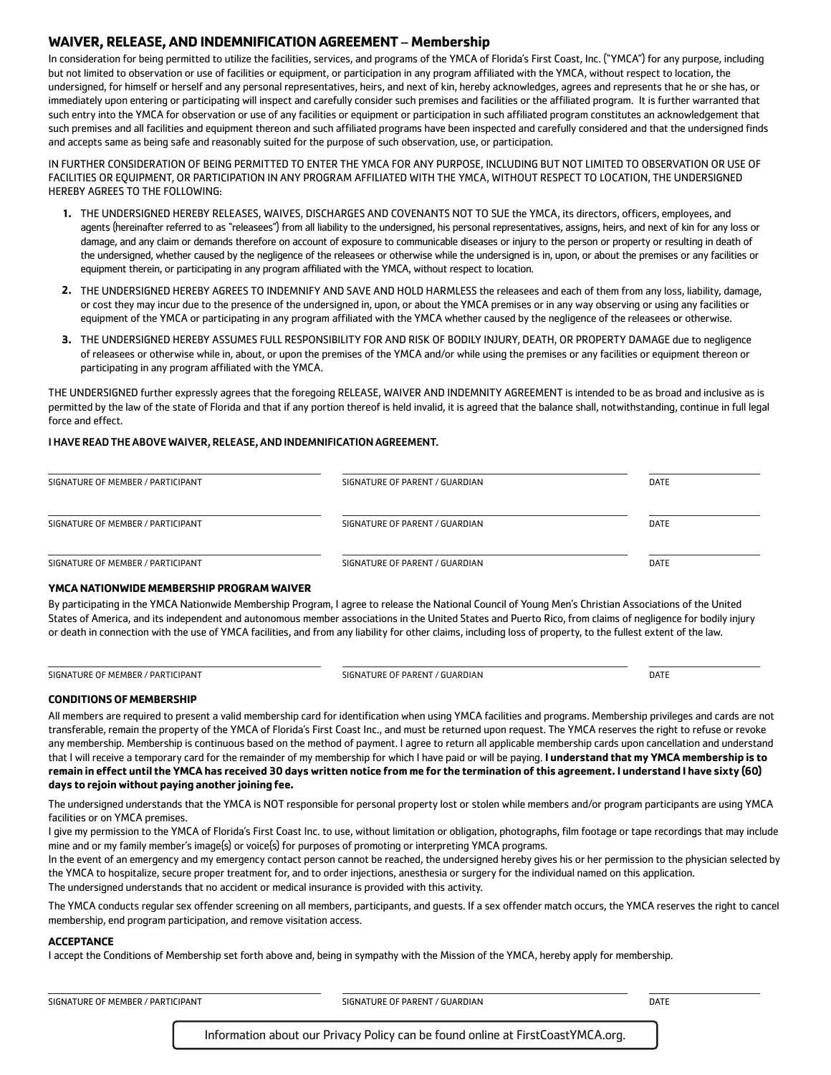## **WAIVER, RELEASE, AND INDEMNIFICATION AGREEMENT** – **Membership**

In consideration for being permitted to utilize the facilities, services, and programs of the YMCA of Florida's First Coast, Inc. ("YMCA") for any purpose, including but not limited to observation or use of facilities or equipment, or participation in any program affiliated with the YMCA, without respect to location, the undersigned, for himself or herself and any personal representatives, heirs, and next of kin, hereby acknowledges, agrees and represents that he or she has, or immediately upon entering or participating will inspect and carefully consider such premises and facilities or the affiliated program. It is further warranted that such entry into the YMCA for observation or use of any facilities or equipment or participation in such affiliated program constitutes an acknowledgement that such premises and all facilities and equipment thereon and such affiliated programs have been inspected and carefully considered and that the undersigned finds and accepts same as being safe and reasonably suited for the purpose of such observation, use, or participation.

IN FURTHER CONSIDERATION OF BEING PERMITTED TO ENTER THE YMCA FOR ANY PURPOSE, INCLUDING BUT NOT LIMITED TO OBSERVATION OR USE OF FACILITIES OR EQUIPMENT, OR PARTICIPATION IN ANY PROGRAM AFFILIATED WITH THE YMCA, WITHOUT RESPECT TO LOCATION, THE UNDERSIGNED HEREBY AGREES TO THE FOLLOWING:

- THE UNDERSIGNED HEREBY RELEASES, WAIVES, DISCHARGES AND COVENANTS NOT TO SUE the YMCA, its directors, officers, employees, and **1.** agents (hereinafter referred to as "releasees") from all liability to the undersigned, his personal representatives, assigns, heirs, and next of kin for any loss or damage, and any claim or demands therefore on account of exposure to communicable diseases or injury to the person or property or resulting in death of the undersigned, whether caused by the negligence of the releasees or otherwise while the undersigned is in, upon, or about the premises or any facilities or equipment therein, or participating in any program affiliated with the YMCA, without respect to location.
- 2. THE UNDERSIGNED HEREBY AGREES TO INDEMNIFY AND SAVE AND HOLD HARMLESS the releasees and each of them from any loss, liability, damage, or cost they may incur due to the presence of the undersigned in, upon, or about the YMCA premises or in any way observing or using any facilities or equipment of the YMCA or participating in any program affiliated with the YMCA whether caused by the negligence of the releasees or otherwise.
- THE UNDERSIGNED HEREBY ASSUMES FULL RESPONSIBILITY FOR AND RISK OF BODILY INJURY, DEATH, OR PROPERTY DAMAGE due to negligence **3.** of releasees or otherwise while in, about, or upon the premises of the YMCA and/or while using the premises or any facilities or equipment thereon or participating in any program affiliated with the YMCA.

THE UNDERSIGNED further expressly agrees that the foregoing RELEASE, WAIVER AND INDEMNITY AGREEMENT is intended to be as broad and inclusive as is permitted by the law of the state of Florida and that if any portion thereof is held invalid, it is agreed that the balance shall, notwithstanding, continue in full legal force and effect.

## I HAVE READ THE ABOVE WAIVER, RELEASE, AND INDEMNIFICATION AGREEMENT.

| SIGNATURE OF MEMBER / PARTICIPANT | SIGNATURE OF PARENT / GUARDIAN | <b>DATE</b> |
|-----------------------------------|--------------------------------|-------------|
| SIGNATURE OF MEMBER / PARTICIPANT | SIGNATURE OF PARENT / GUARDIAN | <b>DATE</b> |
| SIGNATURE OF MEMBER / PARTICIPANT | SIGNATURE OF PARENT / GUARDIAN | <b>DATE</b> |

### **YMCA NATIONWIDE MEMBERSHIP PROGRAM WAIVER**

By participating in the YMCA Nationwide Membership Program, I agree to release the National Council of Young Men's Christian Associations of the United States of America, and its independent and autonomous member associations in the United States and Puerto Rico, from claims of negligence for bodily injury or death in connection with the use of YMCA facilities, and from any liability for other claims, including loss of property, to the fullest extent of the law.

SIGNATURE OF MEMBER / PARTICIPANT SIGNATURE OF PARENT / GUARDIAN SIGNATURE OF PARENT / GUARDIAN

#### **CONDITIONS OF MEMBERSHIP**

All members are required to present a valid membership card for identification when using YMCA facilities and programs. Membership privileges and cards are not transferable, remain the property of the YMCA of Florida's First Coast Inc., and must be returned upon request. The YMCA reserves the right to refuse or revoke any membership. Membership is continuous based on the method of payment. I agree to return all applicable membership cards upon cancellation and understand that I will receive a temporary card for the remainder of my membership for which I have paid or will be paying. **I understand that my YMCA membership is to remain in effect until the YMCA has received 30 days written notice from me for the termination of this agreement. I understand I have sixty (60) days to rejoin without paying another joining fee.**

The undersigned understands that the YMCA is NOT responsible for personal property lost or stolen while members and/or program participants are using YMCA facilities or on YMCA premises.

I give my permission to the YMCA of Florida's First Coast Inc. to use, without limitation or obligation, photographs, film footage or tape recordings that may include mine and or my family member's image(s) or voice(s) for purposes of promoting or interpreting YMCA programs.

In the event of an emergency and my emergency contact person cannot be reached, the undersigned hereby gives his or her permission to the physician selected by the YMCA to hospitalize, secure proper treatment for, and to order injections, anesthesia or surgery for the individual named on this application. The undersigned understands that no accident or medical insurance is provided with this activity.

The YMCA conducts regular sex offender screening on all members, participants, and guests. If a sex offender match occurs, the YMCA reserves the right to cancel membership, end program participation, and remove visitation access.

#### **ACCEPTANCE**

I accept the Conditions of Membership set forth above and, being in sympathy with the Mission of the YMCA, hereby apply for membership.

SIGNATURE OF MEMBER / PARTICIPANT SIGNATURE OF PARENT / GUARDIAN SIGNATURE OF PARENT / GUARDIAN

Information about our Privacy Policy can be found online at FirstCoastYMCA.org.